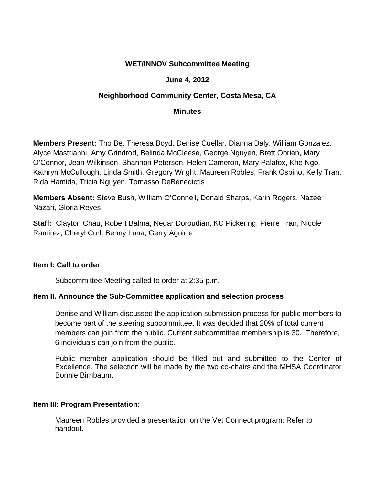## **WET/INNOV Subcommittee Meeting**

## **June 4, 2012**

# **Neighborhood Community Center, Costa Mesa, CA**

### **Minutes**

**Members Present:** Tho Be, Theresa Boyd, Denise Cuellar, Dianna Daly, William Gonzalez, Alyce Mastrianni, Amy Grindrod, Belinda McCleese, George Nguyen, Brett Obrien, Mary O'Connor, Jean Wilkinson, Shannon Peterson, Helen Cameron, Mary Palafox, Khe Ngo, Kathryn McCullough, Linda Smith, Gregory Wright, Maureen Robles, Frank Ospino, Kelly Tran, Rida Hamida, Tricia Nguyen, Tomasso DeBenedictis

**Members Absent:** Steve Bush, William O'Connell, Donald Sharps, Karin Rogers, Nazee Nazari, Gloria Reyes

**Staff:** Clayton Chau, Robert Balma, Negar Doroudian, KC Pickering, Pierre Tran, Nicole Ramirez, Cheryl Curl, Benny Luna, Gerry Aguirre

#### **Item I: Call to order**

Subcommittee Meeting called to order at 2:35 p.m.

## **Item II. Announce the Sub-Committee application and selection process**

Denise and William discussed the application submission process for public members to become part of the steering subcommittee. It was decided that 20% of total current members can join from the public. Current subcommittee membership is 30. Therefore, 6 individuals can join from the public.

Public member application should be filled out and submitted to the Center of Excellence. The selection will be made by the two co-chairs and the MHSA Coordinator Bonnie Birnbaum.

## **Item III: Program Presentation:**

Maureen Robles provided a presentation on the Vet Connect program: Refer to handout.